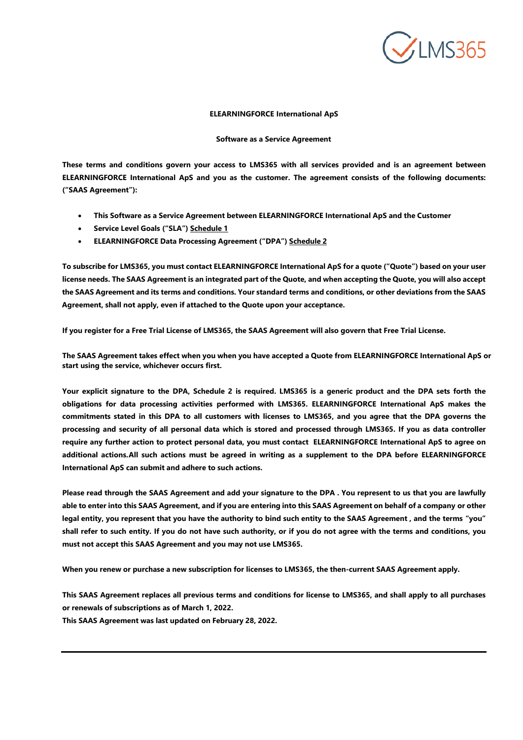

#### **ELEARNINGFORCE International ApS**

#### **Software as a Service Agreement**

**These terms and conditions govern your access to LMS365 with all services provided and is an agreement between ELEARNINGFORCE International ApS and you as the customer. The agreement consists of the following documents: ("SAAS Agreement"):**

- **This Software as a Service Agreement between ELEARNINGFORCE International ApS and the Customer**
- **Service Level Goals ("SLA") Schedule 1**
- **ELEARNINGFORCE Data Processing Agreement ("DPA") Schedule 2**

**To subscribe for LMS365, you must contact ELEARNINGFORCE International ApS for a quote ("Quote") based on your user** license needs. The SAAS Agreement is an integrated part of the Quote, and when accepting the Quote, you will also accept the SAAS Agreement and its terms and conditions. Your standard terms and conditions, or other deviations from the SAAS **Agreement, shall not apply, even if attached to the Quote upon your acceptance.**

If you register for a Free Trial License of LMS365, the SAAS Agreement will also govern that Free Trial License.

The SAAS Agreement takes effect when you when you have accepted a Quote from ELEARNINGFORCE International ApS or **start using the service, whichever occurs first.** 

**Your explicit signature to the DPA, Schedule 2 is required. LMS365 is a generic product and the DPA sets forth the obligations for data processing activities performed with LMS365. ELEARNINGFORCE International ApS makes the**  commitments stated in this DPA to all customers with licenses to LMS365, and you agree that the DPA governs the **processing and security of all personal data which is stored and processed through LMS365. If you as data controller require any further action to protect personal data, you must contact ELEARNINGFORCE International ApS to agree on additional actions.All such actions must be agreed in writing as a supplement to the DPA before ELEARNINGFORCE International ApS can submit and adhere to such actions.**

**Please read through the SAAS Agreement and add your signature to the DPA . You represent to us that you are lawfully** able to enter into this SAAS Agreement, and if you are entering into this SAAS Agreement on behalf of a company or other legal entity, you represent that you have the authority to bind such entity to the SAAS Agreement, and the terms "you" **shall refer to such entity. If you do not have such authority, or if you do not agree with the terms and conditions, you must not accept this SAAS Agreement and you may not use LMS365.**

**When you renew or purchase a new subscription for licenses to LMS365, the then-current SAAS Agreement apply.**

**This SAAS Agreement replaces all previous terms and conditions for license to LMS365, and shall apply to all purchases or renewals of subscriptions as of March 1, 2022.**

**This SAAS Agreement was last updated on February 28, 2022.**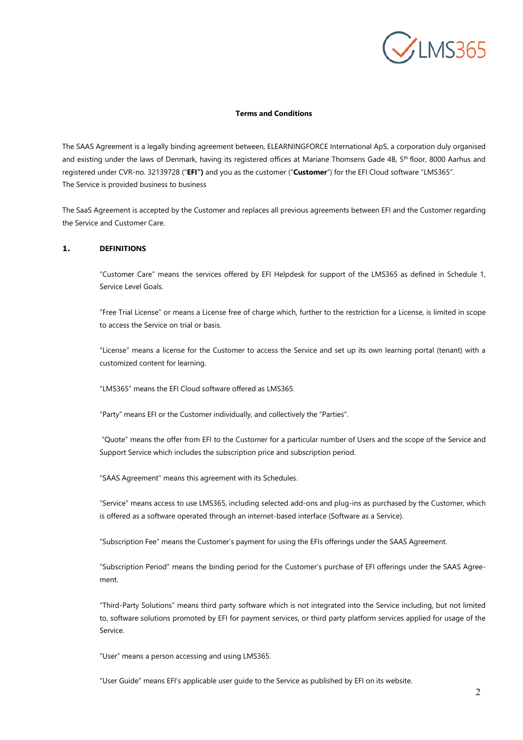

#### **Terms and Conditions**

The SAAS Agreement is a legally binding agreement between, ELEARNINGFORCE International ApS, a corporation duly organised and existing under the laws of Denmark, having its registered offices at Mariane Thomsens Gade 4B, 5<sup>th</sup> floor, 8000 Aarhus and registered under CVR-no. 32139728 ("**EFI")** and you as the customer ("**Customer**") for the EFI Cloud software "LMS365". The Service is provided business to business

The SaaS Agreement is accepted by the Customer and replaces all previous agreements between EFI and the Customer regarding the Service and Customer Care.

# **1. DEFINITIONS**

"Customer Care" means the services offered by EFI Helpdesk for support of the LMS365 as defined in Schedule 1, Service Level Goals.

"Free Trial License" or means a License free of charge which, further to the restriction for a License, is limited in scope to access the Service on trial or basis.

"License" means a license for the Customer to access the Service and set up its own learning portal (tenant) with a customized content for learning.

"LMS365" means the EFI Cloud software offered as LMS365.

"Party" means EFI or the Customer individually, and collectively the "Parties".

"Quote" means the offer from EFI to the Customer for a particular number of Users and the scope of the Service and Support Service which includes the subscription price and subscription period.

"SAAS Agreement" means this agreement with its Schedules.

"Service" means access to use LMS365, including selected add-ons and plug-ins as purchased by the Customer, which is offered as a software operated through an internet-based interface (Software as a Service).

"Subscription Fee" means the Customer's payment for using the EFIs offerings under the SAAS Agreement.

"Subscription Period" means the binding period for the Customer's purchase of EFI offerings under the SAAS Agreement.

"Third-Party Solutions" means third party software which is not integrated into the Service including, but not limited to, software solutions promoted by EFI for payment services, or third party platform services applied for usage of the Service.

"User" means a person accessing and using LMS365.

"User Guide" means EFI's applicable user guide to the Service as published by EFI on its website.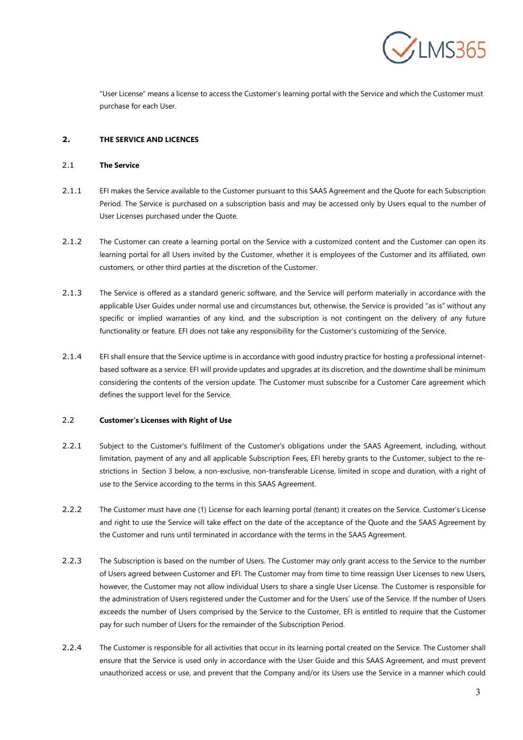

"User License" means a license to access the Customer's learning portal with the Service and which the Customer must purchase for each User.

# **2. THE SERVICE AND LICENCES**

#### 2.1 **The Service**

- 2.1.1 EFI makes the Service available to the Customer pursuant to this SAAS Agreement and the Quote for each Subscription Period. The Service is purchased on a subscription basis and may be accessed only by Users equal to the number of User Licenses purchased under the Quote.
- 2.1.2 The Customer can create a learning portal on the Service with a customized content and the Customer can open its learning portal for all Users invited by the Customer, whether it is employees of the Customer and its affiliated, own customers, or other third parties at the discretion of the Customer.
- 2.1.3 The Service is offered as a standard generic software, and the Service will perform materially in accordance with the applicable User Guides under normal use and circumstances but, otherwise, the Service is provided "as is" without any specific or implied warranties of any kind, and the subscription is not contingent on the delivery of any future functionality or feature. EFI does not take any responsibility for the Customer's customizing of the Service.
- 2.1.4 EFI shall ensure that the Service uptime is in accordance with good industry practice for hosting a professional internetbased software as a service. EFI will provide updates and upgrades at its discretion, and the downtime shall be minimum considering the contents of the version update. The Customer must subscribe for a Customer Care agreement which defines the support level for the Service.

### 2.2 **Customer's Licenses with Right of Use**

- 2.2.1 Subject to the Customer's fulfilment of the Customer's obligations under the SAAS Agreement, including, without limitation, payment of any and all applicable Subscription Fees, EFI hereby grants to the Customer, subject to the restrictions in Section [3 b](#page-3-0)elow, a non-exclusive, non-transferable License, limited in scope and duration, with a right of use to the Service according to the terms in this SAAS Agreement.
- 2.2.2 The Customer must have one (1) License for each learning portal (tenant) it creates on the Service. Customer's License and right to use the Service will take effect on the date of the acceptance of the Quote and the SAAS Agreement by the Customer and runs until terminated in accordance with the terms in the SAAS Agreement.
- 2.2.3 The Subscription is based on the number of Users. The Customer may only grant access to the Service to the number of Users agreed between Customer and EFI. The Customer may from time to time reassign User Licenses to new Users, however, the Customer may not allow individual Users to share a single User License. The Customer is responsible for the administration of Users registered under the Customer and for the Users´ use of the Service. If the number of Users exceeds the number of Users comprised by the Service to the Customer, EFI is entitled to require that the Customer pay for such number of Users for the remainder of the Subscription Period.
- 2.2.4 The Customer is responsible for all activities that occur in its learning portal created on the Service. The Customer shall ensure that the Service is used only in accordance with the User Guide and this SAAS Agreement, and must prevent unauthorized access or use, and prevent that the Company and/or its Users use the Service in a manner which could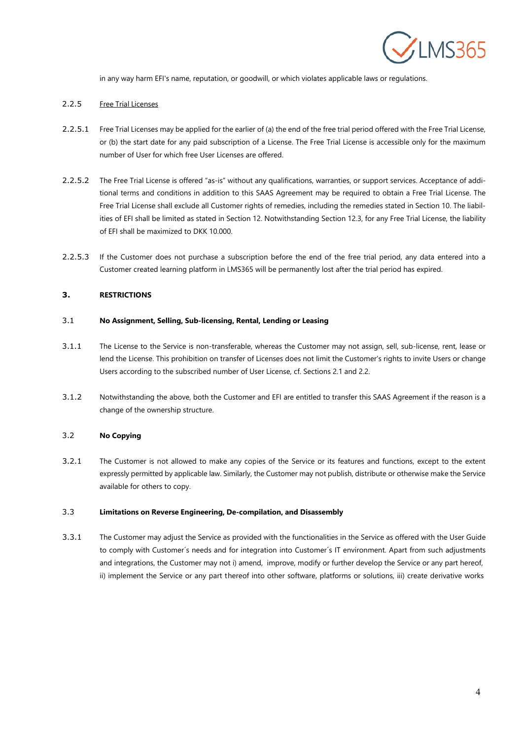

in any way harm EFI's name, reputation, or goodwill, or which violates applicable laws or regulations.

### 2.2.5 Free Trial Licenses

- 2.2.5.1 Free Trial Licenses may be applied for the earlier of (a) the end of the free trial period offered with the Free Trial License, or (b) the start date for any paid subscription of a License. The Free Trial License is accessible only for the maximum number of User for which free User Licenses are offered.
- 2.2.5.2 The Free Trial License is offered "as-is" without any qualifications, warranties, or support services. Acceptance of additional terms and conditions in addition to this SAAS Agreement may be required to obtain a Free Trial License. The Free Trial License shall exclude all Customer rights of remedies, including the remedies stated in Section 10. The liabilities of EFI shall be limited as stated in Section 12. Notwithstanding Section 12.3, for any Free Trial License, the liability of EFI shall be maximized to DKK 10.000.
- 2.2.5.3 If the Customer does not purchase a subscription before the end of the free trial period, any data entered into a Customer created learning platform in LMS365 will be permanently lost after the trial period has expired.

# <span id="page-3-0"></span>**3. RESTRICTIONS**

### 3.1 **No Assignment, Selling, Sub-licensing, Rental, Lending or Leasing**

- 3.1.1 The License to the Service is non-transferable, whereas the Customer may not assign, sell, sub-license, rent, lease or lend the License. This prohibition on transfer of Licenses does not limit the Customer's rights to invite Users or change Users according to the subscribed number of User License, cf. Sections 2.1 and 2.2.
- 3.1.2 Notwithstanding the above, both the Customer and EFI are entitled to transfer this SAAS Agreement if the reason is a change of the ownership structure.

# 3.2 **No Copying**

3.2.1 The Customer is not allowed to make any copies of the Service or its features and functions, except to the extent expressly permitted by applicable law. Similarly, the Customer may not publish, distribute or otherwise make the Service available for others to copy.

### 3.3 **Limitations on Reverse Engineering, De-compilation, and Disassembly**

3.3.1 The Customer may adjust the Service as provided with the functionalities in the Service as offered with the User Guide to comply with Customer´s needs and for integration into Customer´s IT environment. Apart from such adjustments and integrations, the Customer may not i) amend, improve, modify or further develop the Service or any part hereof, ii) implement the Service or any part thereof into other software, platforms or solutions, iii) create derivative works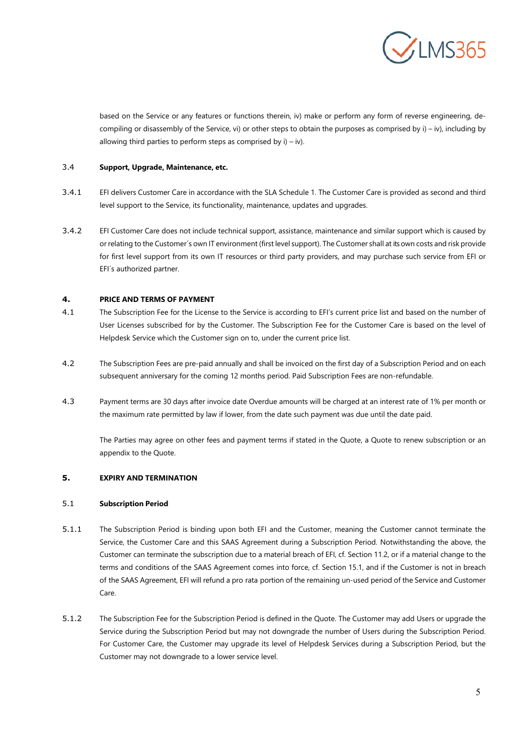

based on the Service or any features or functions therein, iv) make or perform any form of reverse engineering, decompiling or disassembly of the Service, vi) or other steps to obtain the purposes as comprised by i) – iv), including by allowing third parties to perform steps as comprised by  $i$ ) – iv).

# 3.4 **Support, Upgrade, Maintenance, etc.**

- 3.4.1 EFI delivers Customer Care in accordance with the SLA Schedule 1. The Customer Care is provided as second and third level support to the Service, its functionality, maintenance, updates and upgrades.
- 3.4.2 EFI Customer Care does not include technical support, assistance, maintenance and similar support which is caused by or relating to the Customer´s own IT environment (first level support). The Customer shall at its own costs and risk provide for first level support from its own IT resources or third party providers, and may purchase such service from EFI or EFI´s authorized partner.

# **4. PRICE AND TERMS OF PAYMENT**

- 4.1 The Subscription Fee for the License to the Service is according to EFI's current price list and based on the number of User Licenses subscribed for by the Customer. The Subscription Fee for the Customer Care is based on the level of Helpdesk Service which the Customer sign on to, under the current price list.
- 4.2 The Subscription Fees are pre-paid annually and shall be invoiced on the first day of a Subscription Period and on each subsequent anniversary for the coming 12 months period. Paid Subscription Fees are non-refundable.
- 4.3 Payment terms are 30 days after invoice date Overdue amounts will be charged at an interest rate of 1% per month or the maximum rate permitted by law if lower, from the date such payment was due until the date paid.

The Parties may agree on other fees and payment terms if stated in the Quote, a Quote to renew subscription or an appendix to the Quote.

# **5. EXPIRY AND TERMINATION**

# 5.1 **Subscription Period**

- 5.1.1 The Subscription Period is binding upon both EFI and the Customer, meaning the Customer cannot terminate the Service, the Customer Care and this SAAS Agreement during a Subscription Period. Notwithstanding the above, the Customer can terminate the subscription due to a material breach of EFI, cf. Section 11.2, or if a material change to the terms and conditions of the SAAS Agreement comes into force, cf. Section 15.1, and if the Customer is not in breach of the SAAS Agreement, EFI will refund a pro rata portion of the remaining un-used period of the Service and Customer Care.
- 5.1.2 The Subscription Fee for the Subscription Period is defined in the Quote. The Customer may add Users or upgrade the Service during the Subscription Period but may not downgrade the number of Users during the Subscription Period. For Customer Care, the Customer may upgrade its level of Helpdesk Services during a Subscription Period, but the Customer may not downgrade to a lower service level.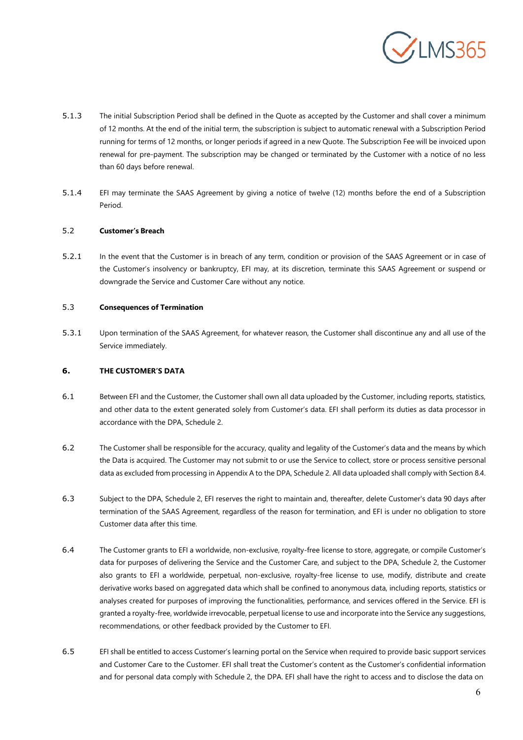

- 5.1.3 The initial Subscription Period shall be defined in the Quote as accepted by the Customer and shall cover a minimum of 12 months. At the end of the initial term, the subscription is subject to automatic renewal with a Subscription Period running for terms of 12 months, or longer periods if agreed in a new Quote. The Subscription Fee will be invoiced upon renewal for pre-payment. The subscription may be changed or terminated by the Customer with a notice of no less than 60 days before renewal.
- 5.1.4 EFI may terminate the SAAS Agreement by giving a notice of twelve (12) months before the end of a Subscription Period.

### 5.2 **Customer's Breach**

5.2.1 In the event that the Customer is in breach of any term, condition or provision of the SAAS Agreement or in case of the Customer's insolvency or bankruptcy, EFI may, at its discretion, terminate this SAAS Agreement or suspend or downgrade the Service and Customer Care without any notice.

### 5.3 **Consequences of Termination**

5.3.1 Upon termination of the SAAS Agreement, for whatever reason, the Customer shall discontinue any and all use of the Service immediately.

# **6. THE CUSTOMER'S DATA**

- 6.1 Between EFI and the Customer, the Customer shall own all data uploaded by the Customer, including reports, statistics, and other data to the extent generated solely from Customer's data. EFI shall perform its duties as data processor in accordance with the DPA, Schedule 2.
- 6.2 The Customer shall be responsible for the accuracy, quality and legality of the Customer's data and the means by which the Data is acquired. The Customer may not submit to or use the Service to collect, store or process sensitive personal data as excluded from processing in Appendix A to the DPA, Schedule 2. All data uploaded shall comply with Section 8.4.
- 6.3 Subject to the DPA, Schedule 2, EFI reserves the right to maintain and, thereafter, delete Customer's data 90 days after termination of the SAAS Agreement, regardless of the reason for termination, and EFI is under no obligation to store Customer data after this time.
- 6.4 The Customer grants to EFI a worldwide, non-exclusive, royalty-free license to store, aggregate, or compile Customer's data for purposes of delivering the Service and the Customer Care, and subject to the DPA, Schedule 2, the Customer also grants to EFI a worldwide, perpetual, non-exclusive, royalty-free license to use, modify, distribute and create derivative works based on aggregated data which shall be confined to anonymous data, including reports, statistics or analyses created for purposes of improving the functionalities, performance, and services offered in the Service. EFI is granted a royalty-free, worldwide irrevocable, perpetual license to use and incorporate into the Service any suggestions, recommendations, or other feedback provided by the Customer to EFI.
- 6.5 EFI shall be entitled to access Customer's learning portal on the Service when required to provide basic support services and Customer Care to the Customer. EFI shall treat the Customer's content as the Customer's confidential information and for personal data comply with Schedule 2, the DPA. EFI shall have the right to access and to disclose the data on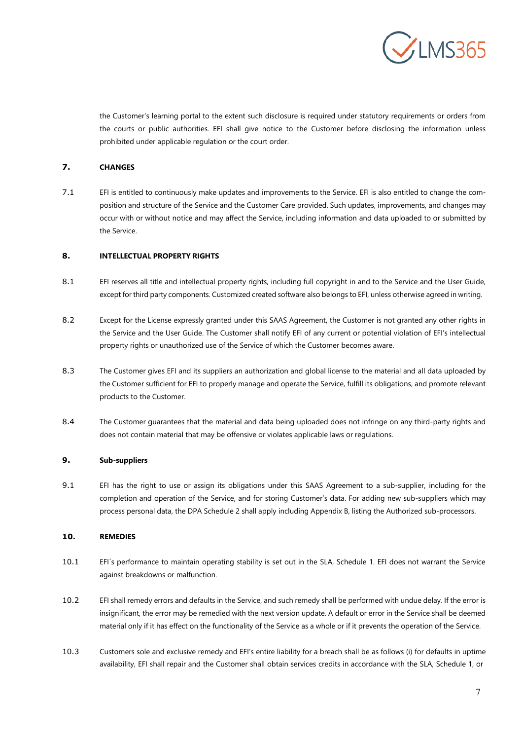

the Customer's learning portal to the extent such disclosure is required under statutory requirements or orders from the courts or public authorities. EFI shall give notice to the Customer before disclosing the information unless prohibited under applicable regulation or the court order.

# **7. CHANGES**

7.1 EFI is entitled to continuously make updates and improvements to the Service. EFI is also entitled to change the composition and structure of the Service and the Customer Care provided. Such updates, improvements, and changes may occur with or without notice and may affect the Service, including information and data uploaded to or submitted by the Service.

### **8. INTELLECTUAL PROPERTY RIGHTS**

- 8.1 EFI reserves all title and intellectual property rights, including full copyright in and to the Service and the User Guide, except for third party components. Customized created software also belongs to EFI, unless otherwise agreed in writing.
- 8.2 Except for the License expressly granted under this SAAS Agreement, the Customer is not granted any other rights in the Service and the User Guide. The Customer shall notify EFI of any current or potential violation of EFI's intellectual property rights or unauthorized use of the Service of which the Customer becomes aware.
- 8.3 The Customer gives EFI and its suppliers an authorization and global license to the material and all data uploaded by the Customer sufficient for EFI to properly manage and operate the Service, fulfill its obligations, and promote relevant products to the Customer.
- 8.4 The Customer guarantees that the material and data being uploaded does not infringe on any third-party rights and does not contain material that may be offensive or violates applicable laws or regulations.

#### **9. Sub-suppliers**

9.1 EFI has the right to use or assign its obligations under this SAAS Agreement to a sub-supplier, including for the completion and operation of the Service, and for storing Customer's data. For adding new sub-suppliers which may process personal data, the DPA Schedule 2 shall apply including Appendix B, listing the Authorized sub-processors.

#### **10. REMEDIES**

- 10.1 EFI´s performance to maintain operating stability is set out in the SLA, Schedule 1. EFI does not warrant the Service against breakdowns or malfunction.
- 10.2 EFI shall remedy errors and defaults in the Service, and such remedy shall be performed with undue delay. If the error is insignificant, the error may be remedied with the next version update. A default or error in the Service shall be deemed material only if it has effect on the functionality of the Service as a whole or if it prevents the operation of the Service.
- 10.3 Customers sole and exclusive remedy and EFI's entire liability for a breach shall be as follows (i) for defaults in uptime availability, EFI shall repair and the Customer shall obtain services credits in accordance with the SLA, Schedule 1, or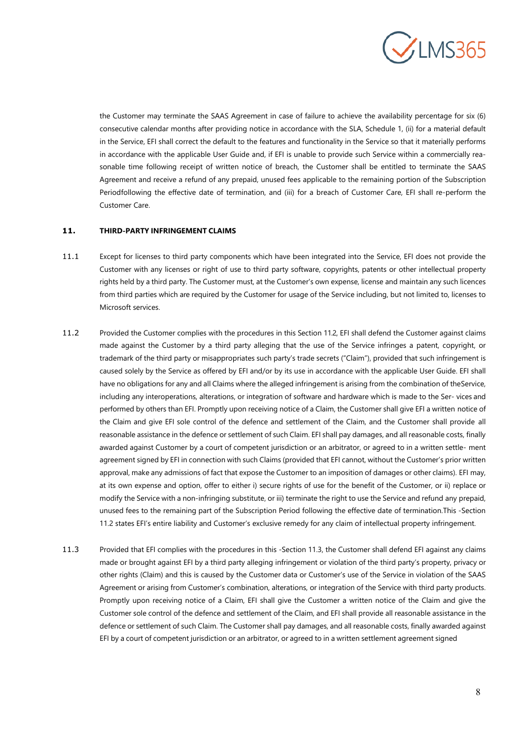

the Customer may terminate the SAAS Agreement in case of failure to achieve the availability percentage for six (6) consecutive calendar months after providing notice in accordance with the SLA, Schedule 1, (ii) for a material default in the Service, EFI shall correct the default to the features and functionality in the Service so that it materially performs in accordance with the applicable User Guide and, if EFI is unable to provide such Service within a commercially reasonable time following receipt of written notice of breach, the Customer shall be entitled to terminate the SAAS Agreement and receive a refund of any prepaid, unused fees applicable to the remaining portion of the Subscription Periodfollowing the effective date of termination, and (iii) for a breach of Customer Care, EFI shall re-perform the Customer Care.

# **11. THIRD-PARTY INFRINGEMENT CLAIMS**

- 11.1 Except for licenses to third party components which have been integrated into the Service, EFI does not provide the Customer with any licenses or right of use to third party software, copyrights, patents or other intellectual property rights held by a third party. The Customer must, at the Customer's own expense, license and maintain any such licences from third parties which are required by the Customer for usage of the Service including, but not limited to, licenses to Microsoft services.
- 11.2 Provided the Customer complies with the procedures in this Section 11.2, EFI shall defend the Customer against claims made against the Customer by a third party alleging that the use of the Service infringes a patent, copyright, or trademark of the third party or misappropriates such party's trade secrets ("Claim"), provided that such infringement is caused solely by the Service as offered by EFI and/or by its use in accordance with the applicable User Guide. EFI shall have no obligations for any and all Claims where the alleged infringement is arising from the combination of theService, including any interoperations, alterations, or integration of software and hardware which is made to the Ser- vices and performed by others than EFI. Promptly upon receiving notice of a Claim, the Customer shall give EFI a written notice of the Claim and give EFI sole control of the defence and settlement of the Claim, and the Customer shall provide all reasonable assistance in the defence or settlement of such Claim. EFI shall pay damages, and all reasonable costs, finally awarded against Customer by a court of competent jurisdiction or an arbitrator, or agreed to in a written settle- ment agreement signed by EFI in connection with such Claims (provided that EFI cannot, without the Customer's prior written approval, make any admissions of fact that expose the Customer to an imposition of damages or other claims). EFI may, at its own expense and option, offer to either i) secure rights of use for the benefit of the Customer, or ii) replace or modify the Service with a non-infringing substitute, or iii) terminate the right to use the Service and refund any prepaid, unused fees to the remaining part of the Subscription Period following the effective date of termination.This -Section 11.2 states EFI's entire liability and Customer's exclusive remedy for any claim of intellectual property infringement.
- 11.3 Provided that EFI complies with the procedures in this -Section 11.3, the Customer shall defend EFI against any claims made or brought against EFI by a third party alleging infringement or violation of the third party's property, privacy or other rights (Claim) and this is caused by the Customer data or Customer's use of the Service in violation of the SAAS Agreement or arising from Customer's combination, alterations, or integration of the Service with third party products. Promptly upon receiving notice of a Claim, EFI shall give the Customer a written notice of the Claim and give the Customer sole control of the defence and settlement of the Claim, and EFI shall provide all reasonable assistance in the defence or settlement of such Claim. The Customer shall pay damages, and all reasonable costs, finally awarded against EFI by a court of competent jurisdiction or an arbitrator, or agreed to in a written settlement agreement signed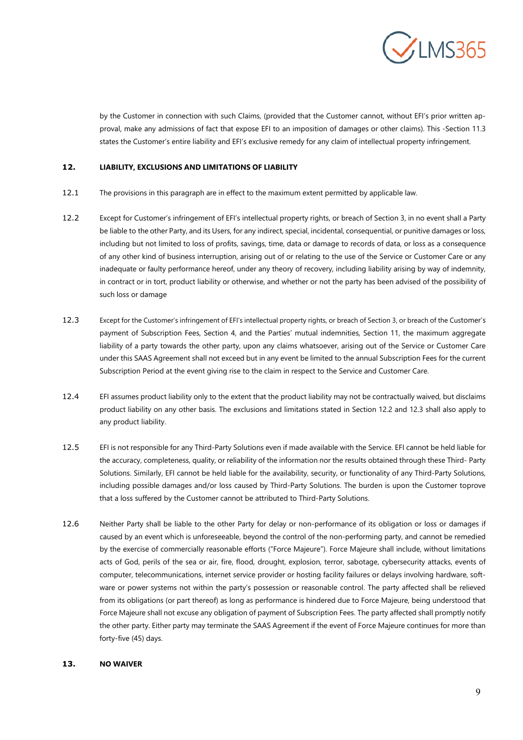

by the Customer in connection with such Claims, (provided that the Customer cannot, without EFI's prior written approval, make any admissions of fact that expose EFI to an imposition of damages or other claims). This -Section 11.3 states the Customer's entire liability and EFI's exclusive remedy for any claim of intellectual property infringement.

# **12. LIABILITY, EXCLUSIONS AND LIMITATIONS OF LIABILITY**

- 12.1 The provisions in this paragraph are in effect to the maximum extent permitted by applicable law.
- 12.2 Except for Customer's infringement of EFI's intellectual property rights, or breach of Section 3, in no event shall a Party be liable to the other Party, and its Users, for any indirect, special, incidental, consequential, or punitive damages or loss, including but not limited to loss of profits, savings, time, data or damage to records of data, or loss as a consequence of any other kind of business interruption, arising out of or relating to the use of the Service or Customer Care or any inadequate or faulty performance hereof, under any theory of recovery, including liability arising by way of indemnity, in contract or in tort, product liability or otherwise, and whether or not the party has been advised of the possibility of such loss or damage
- 12.3 Except for the Customer's infringement of EFI's intellectual property rights, or breach of Section 3, or breach of the Customer's payment of Subscription Fees, Section 4, and the Parties' mutual indemnities, Section 11, the maximum aggregate liability of a party towards the other party, upon any claims whatsoever, arising out of the Service or Customer Care under this SAAS Agreement shall not exceed but in any event be limited to the annual Subscription Fees for the current Subscription Period at the event giving rise to the claim in respect to the Service and Customer Care.
- 12.4 EFI assumes product liability only to the extent that the product liability may not be contractually waived, but disclaims product liability on any other basis. The exclusions and limitations stated in Section 12.2 and 12.3 shall also apply to any product liability.
- 12.5 EFI is not responsible for any Third-Party Solutions even if made available with the Service. EFI cannot be held liable for the accuracy, completeness, quality, or reliability of the information nor the results obtained through these Third- Party Solutions. Similarly, EFI cannot be held liable for the availability, security, or functionality of any Third-Party Solutions, including possible damages and/or loss caused by Third-Party Solutions. The burden is upon the Customer toprove that a loss suffered by the Customer cannot be attributed to Third-Party Solutions.
- 12.6 Neither Party shall be liable to the other Party for delay or non-performance of its obligation or loss or damages if caused by an event which is unforeseeable, beyond the control of the non-performing party, and cannot be remedied by the exercise of commercially reasonable efforts ("Force Majeure"). Force Majeure shall include, without limitations acts of God, perils of the sea or air, fire, flood, drought, explosion, terror, sabotage, cybersecurity attacks, events of computer, telecommunications, internet service provider or hosting facility failures or delays involving hardware, software or power systems not within the party's possession or reasonable control. The party affected shall be relieved from its obligations (or part thereof) as long as performance is hindered due to Force Majeure, being understood that Force Majeure shall not excuse any obligation of payment of Subscription Fees. The party affected shall promptly notify the other party. Either party may terminate the SAAS Agreement if the event of Force Majeure continues for more than forty-five (45) days.

### **13. NO WAIVER**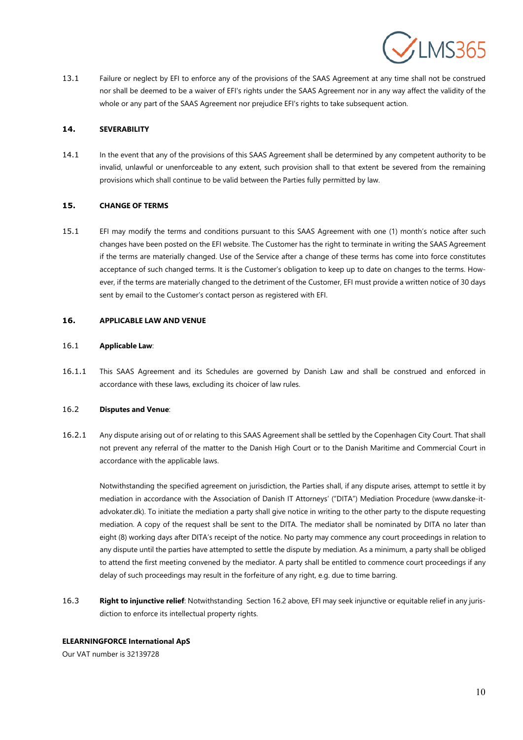

13.1 Failure or neglect by EFI to enforce any of the provisions of the SAAS Agreement at any time shall not be construed nor shall be deemed to be a waiver of EFI's rights under the SAAS Agreement nor in any way affect the validity of the whole or any part of the SAAS Agreement nor prejudice EFI's rights to take subsequent action.

### **14. SEVERABILITY**

14.1 In the event that any of the provisions of this SAAS Agreement shall be determined by any competent authority to be invalid, unlawful or unenforceable to any extent, such provision shall to that extent be severed from the remaining provisions which shall continue to be valid between the Parties fully permitted by law.

#### **15. CHANGE OF TERMS**

15.1 EFI may modify the terms and conditions pursuant to this SAAS Agreement with one (1) month's notice after such changes have been posted on the EFI website. The Customer has the right to terminate in writing the SAAS Agreement if the terms are materially changed. Use of the Service after a change of these terms has come into force constitutes acceptance of such changed terms. It is the Customer's obligation to keep up to date on changes to the terms. However, if the terms are materially changed to the detriment of the Customer, EFI must provide a written notice of 30 days sent by email to the Customer's contact person as registered with EFI.

#### **16. APPLICABLE LAW AND VENUE**

### 16.1 **Applicable Law**:

16.1.1 This SAAS Agreement and its Schedules are governed by Danish Law and shall be construed and enforced in accordance with these laws, excluding its choicer of law rules.

# <span id="page-9-0"></span>16.2 **Disputes and Venue**:

16.2.1 Any dispute arising out of or relating to this SAAS Agreement shall be settled by the Copenhagen City Court. That shall not prevent any referral of the matter to the Danish High Court or to the Danish Maritime and Commercial Court in accordance with the applicable laws.

Notwithstanding the specified agreement on jurisdiction, the Parties shall, if any dispute arises, attempt to settle it by mediation in accordance with the Association of Danish IT Attorneys' ("DITA") Mediation Procedure (www.danske-itadvokater.dk). To initiate the mediation a party shall give notice in writing to the other party to the dispute requesting mediation. A copy of the request shall be sent to the DITA. The mediator shall be nominated by DITA no later than eight (8) working days after DITA's receipt of the notice. No party may commence any court proceedings in relation to any dispute until the parties have attempted to settle the dispute by mediation. As a minimum, a party shall be obliged to attend the first meeting convened by the mediator. A party shall be entitled to commence court proceedings if any delay of such proceedings may result in the forfeiture of any right, e.g. due to time barring.

16.3 **Right to injunctive relief**: Notwithstanding Section [16.2 a](#page-9-0)bove, EFI may seek injunctive or equitable relief in any jurisdiction to enforce its intellectual property rights.

### **ELEARNINGFORCE International ApS**

Our VAT number is 32139728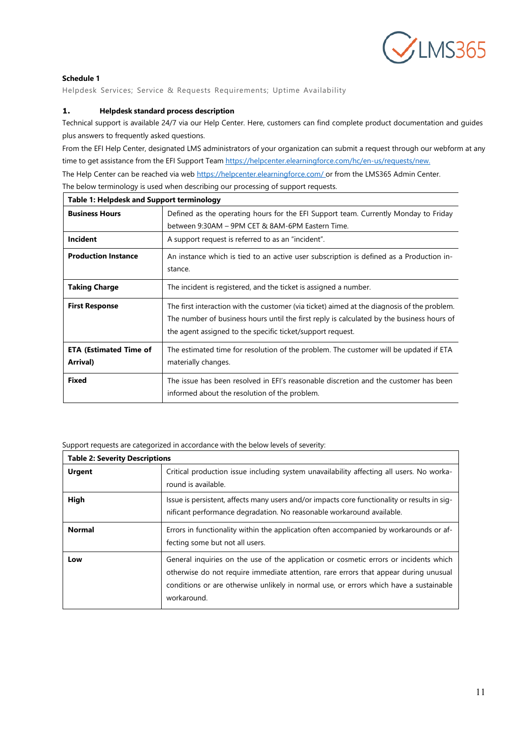

# **Schedule 1**

Helpdesk Services; Service & Requests Requirements; Uptime Availability

# **1. Helpdesk standard process description**

Technical support is available 24/7 via our Help Center. Here, customers can find complete product documentation and guides plus answers to frequently asked questions.

From the EFI Help Center, designated LMS administrators of your organization can submit a request through our webform at any time to get assistance from the EFI Support Team [https://helpcenter.elearningforce.com/hc/en-us/requests/new.](https://helpcenter.elearningforce.com/hc/en-us/requests/new) The Help Center can be reached via web [https://helpcenter.elearningforce.com/ o](https://helpcenter.elearningforce.com/)r from the LMS365 Admin Center.

| <b>Table 1: Helpdesk and Support terminology</b> |                                                                                             |  |  |  |
|--------------------------------------------------|---------------------------------------------------------------------------------------------|--|--|--|
| <b>Business Hours</b>                            | Defined as the operating hours for the EFI Support team. Currently Monday to Friday         |  |  |  |
|                                                  | between 9:30AM - 9PM CET & 8AM-6PM Eastern Time.                                            |  |  |  |
| <b>Incident</b>                                  | A support request is referred to as an "incident".                                          |  |  |  |
| <b>Production Instance</b>                       | An instance which is tied to an active user subscription is defined as a Production in-     |  |  |  |
|                                                  | stance.                                                                                     |  |  |  |
| <b>Taking Charge</b>                             | The incident is registered, and the ticket is assigned a number.                            |  |  |  |
| <b>First Response</b>                            | The first interaction with the customer (via ticket) aimed at the diagnosis of the problem. |  |  |  |
|                                                  | The number of business hours until the first reply is calculated by the business hours of   |  |  |  |
|                                                  | the agent assigned to the specific ticket/support request.                                  |  |  |  |
| <b>ETA (Estimated Time of</b>                    | The estimated time for resolution of the problem. The customer will be updated if ETA       |  |  |  |
| Arrival)                                         | materially changes.                                                                         |  |  |  |
| <b>Fixed</b>                                     | The issue has been resolved in EFI's reasonable discretion and the customer has been        |  |  |  |
|                                                  | informed about the resolution of the problem.                                               |  |  |  |

The below terminology is used when describing our processing of support requests.

Support requests are categorized in accordance with the below levels of severity:

| <b>Table 2: Severity Descriptions</b> |                                                                                                                                                                                                                                                                                        |  |  |
|---------------------------------------|----------------------------------------------------------------------------------------------------------------------------------------------------------------------------------------------------------------------------------------------------------------------------------------|--|--|
| <b>Urgent</b>                         | Critical production issue including system unavailability affecting all users. No worka-<br>round is available.                                                                                                                                                                        |  |  |
| High                                  | Issue is persistent, affects many users and/or impacts core functionality or results in sig-<br>nificant performance degradation. No reasonable workaround available.                                                                                                                  |  |  |
| <b>Normal</b>                         | Errors in functionality within the application often accompanied by workarounds or af-<br>fecting some but not all users.                                                                                                                                                              |  |  |
| Low                                   | General inquiries on the use of the application or cosmetic errors or incidents which<br>otherwise do not require immediate attention, rare errors that appear during unusual<br>conditions or are otherwise unlikely in normal use, or errors which have a sustainable<br>workaround. |  |  |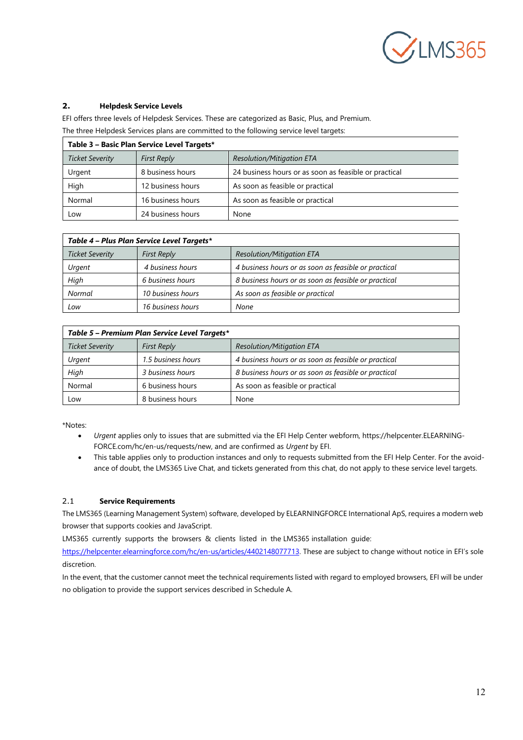

# **2. Helpdesk Service Levels**

EFI offers three levels of Helpdesk Services. These are categorized as Basic, Plus, and Premium. The three Helpdesk Services plans are committed to the following service level targets:

| Table 3 - Basic Plan Service Level Targets* |                    |                                                       |  |  |
|---------------------------------------------|--------------------|-------------------------------------------------------|--|--|
| Ticket Severity                             | <b>First Reply</b> | <b>Resolution/Mitigation ETA</b>                      |  |  |
| Urgent                                      | 8 business hours   | 24 business hours or as soon as feasible or practical |  |  |
| High                                        | 12 business hours  | As soon as feasible or practical                      |  |  |
| Normal                                      | 16 business hours  | As soon as feasible or practical                      |  |  |
| Low                                         | 24 business hours  | None                                                  |  |  |

| Table 4 – Plus Plan Service Level Targets* |                    |                                                      |  |  |
|--------------------------------------------|--------------------|------------------------------------------------------|--|--|
| Ticket Severity                            | <b>First Reply</b> | <b>Resolution/Mitigation ETA</b>                     |  |  |
| Urgent                                     | 4 business hours   | 4 business hours or as soon as feasible or practical |  |  |
| High                                       | 6 business hours   | 8 business hours or as soon as feasible or practical |  |  |
| Normal                                     | 10 business hours  | As soon as feasible or practical                     |  |  |
| Low                                        | 16 business hours  | None                                                 |  |  |

| Table 5 - Premium Plan Service Level Targets* |                    |                                                      |  |  |
|-----------------------------------------------|--------------------|------------------------------------------------------|--|--|
| Ticket Severity                               | <b>First Reply</b> | Resolution/Mitigation ETA                            |  |  |
| Urgent                                        | 1.5 business hours | 4 business hours or as soon as feasible or practical |  |  |
| High                                          | 3 business hours   | 8 business hours or as soon as feasible or practical |  |  |
| Normal                                        | 6 business hours   | As soon as feasible or practical                     |  |  |
| Low                                           | 8 business hours   | None                                                 |  |  |

\*Notes:

- *Urgent* applies only to issues that are submitted via the EFI Help Center webform, https://helpcenter.ELEARNING-FORCE.com/hc/en-us/requests/new, and are confirmed as *Urgent* by EFI.
- This table applies only to production instances and only to requests submitted from the EFI Help Center. For the avoidance of doubt, the LMS365 Live Chat, and tickets generated from this chat, do not apply to these service level targets.

# 2.1 **Service Requirements**

The LMS365 (Learning Management System) software, developed by ELEARNINGFORCE International ApS, requires a modern web browser that supports cookies and JavaScript.

LMS365 currently supports the browsers & clients listed in the LMS365 installation guide:

[https://helpcenter.elearningforce.com/hc/en-us/articles/4402148077713.](https://helpcenter.elearningforce.com/hc/en-us/articles/4402148077713) These are subject to change without notice in EFI's sole discretion.

In the event, that the customer cannot meet the technical requirements listed with regard to employed browsers, EFI will be under no obligation to provide the support services described in Schedule A.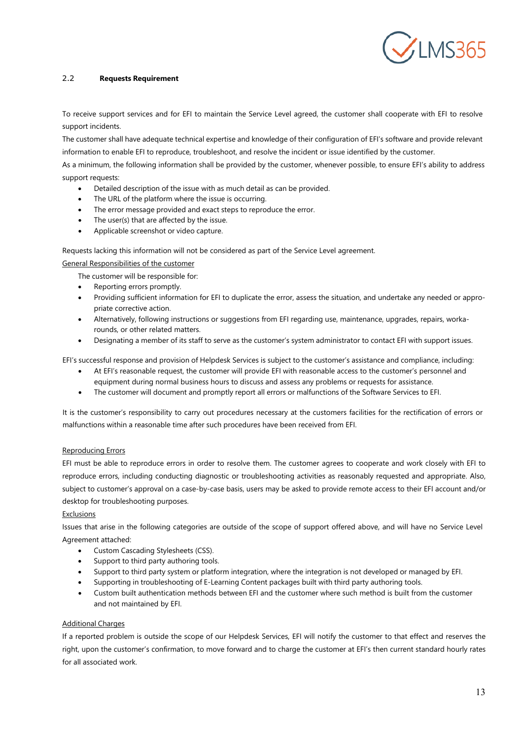

# 2.2 **Requests Requirement**

To receive support services and for EFI to maintain the Service Level agreed, the customer shall cooperate with EFI to resolve support incidents.

The customer shall have adequate technical expertise and knowledge of their configuration of EFI's software and provide relevant information to enable EFI to reproduce, troubleshoot, and resolve the incident or issue identified by the customer.

As a minimum, the following information shall be provided by the customer, whenever possible, to ensure EFI's ability to address support requests:

- Detailed description of the issue with as much detail as can be provided.
- The URL of the platform where the issue is occurring.
- The error message provided and exact steps to reproduce the error.
- The user(s) that are affected by the issue.
- Applicable screenshot or video capture.

Requests lacking this information will not be considered as part of the Service Level agreement.

#### General Responsibilities of the customer

The customer will be responsible for:

- Reporting errors promptly.
- Providing sufficient information for EFI to duplicate the error, assess the situation, and undertake any needed or appropriate corrective action.
- Alternatively, following instructions or suggestions from EFI regarding use, maintenance, upgrades, repairs, workarounds, or other related matters.
- Designating a member of its staff to serve as the customer's system administrator to contact EFI with support issues.

EFI's successful response and provision of Helpdesk Services is subject to the customer's assistance and compliance, including:

- At EFI's reasonable request, the customer will provide EFI with reasonable access to the customer's personnel and equipment during normal business hours to discuss and assess any problems or requests for assistance.
- The customer will document and promptly report all errors or malfunctions of the Software Services to EFI.

It is the customer's responsibility to carry out procedures necessary at the customers facilities for the rectification of errors or malfunctions within a reasonable time after such procedures have been received from EFI.

#### Reproducing Errors

EFI must be able to reproduce errors in order to resolve them. The customer agrees to cooperate and work closely with EFI to reproduce errors, including conducting diagnostic or troubleshooting activities as reasonably requested and appropriate. Also, subject to customer's approval on a case-by-case basis, users may be asked to provide remote access to their EFI account and/or desktop for troubleshooting purposes.

#### **Exclusions**

Issues that arise in the following categories are outside of the scope of support offered above, and will have no Service Level Agreement attached:

- Custom Cascading Stylesheets (CSS).
- Support to third party authoring tools.
- Support to third party system or platform integration, where the integration is not developed or managed by EFI.
- Supporting in troubleshooting of E-Learning Content packages built with third party authoring tools.
- Custom built authentication methods between EFI and the customer where such method is built from the customer and not maintained by EFI.

#### Additional Charges

If a reported problem is outside the scope of our Helpdesk Services, EFI will notify the customer to that effect and reserves the right, upon the customer's confirmation, to move forward and to charge the customer at EFI's then current standard hourly rates for all associated work.